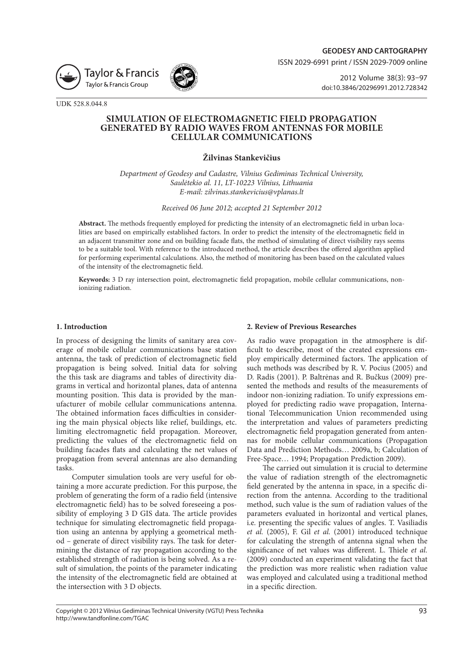**GEODESY AND CARTOGRAPHY**

ISSN 2029-6991 print / ISSN 2029-7009 online

2012 Volume 38(3): 93–97 [doi:10.3846/20296991.2012.728342](http://dx.doi.org/10.3846/20296991.2012.728342)

Taylor & Francis Taylor & Francis Group



UDK 528.8.044.8

# **SIMULATION OF ELECTROMAGNETIC FIELD PROPAGATION GENERATED BY RADIO WAVES FROM ANTENNAS FOR MOBILE CELLULAR COMMUNICATIONS**

# **Žilvinas Stankevičius**

*Department of Geodesy and Cadastre, Vilnius Gediminas Technical University, Saulėtekio al. 11, LT-10223 Vilnius, Lithuania E-mail: [zilvinas.stankevicius@vplanas.lt](mailto:zilvinas.stankevicius@vplanas.lt)*

*Received 06 June 2012; accepted 21 September 2012*

**Abstract.** The methods frequently employed for predicting the intensity of an electromagnetic field in urban localities are based on empirically established factors. In order to predict the intensity of the electromagnetic field in an adjacent transmitter zone and on building facade flats, the method of simulating of direct visibility rays seems to be a suitable tool. With reference to the introduced method, the article describes the offered algorithm applied for performing experimental calculations. Also, the method of monitoring has been based on the calculated values of the intensity of the electromagnetic field.

**Keywords:** 3 D ray intersection point, electromagnetic field propagation, mobile cellular communications, nonionizing radiation.

### **1. Introduction**

In process of designing the limits of sanitary area coverage of mobile cellular communications base station antenna, the task of prediction of electromagnetic field propagation is being solved. Initial data for solving the this task are diagrams and tables of directivity diagrams in vertical and horizontal planes, data of antenna mounting position. This data is provided by the manufacturer of mobile cellular communications antenna. The obtained information faces difficulties in considering the main physical objects like relief, buildings, etc. limiting electromagnetic field propagation. Moreover, predicting the values of the electromagnetic field on building facades flats and calculating the net values of propagation from several antennas are also demanding tasks.

Computer simulation tools are very useful for obtaining a more accurate prediction. For this purpose, the problem of generating the form of a radio field (intensive electromagnetic field) has to be solved foreseeing a possibility of employing 3 D GIS data. The article provides technique for simulating electromagnetic field propagation using an antenna by applying a geometrical method – generate of direct visibility rays. The task for determining the distance of ray propagation according to the established strength of radiation is being solved. As a result of simulation, the points of the parameter indicating the intensity of the electromagnetic field are obtained at the intersection with 3 D objects.

## **2. Review of Previous Researches**

As radio wave propagation in the atmosphere is difficult to describe, most of the created expressions employ empirically determined factors. The application of such methods was described by R. V. Pocius (2005) and D. Radis (2001). P. Baltrėnas and R. Bučkus (2009) presented the methods and results of the measurements of indoor non-ionizing radiation. To unify expressions employed for predicting radio wave propagation, International Telecommunication Union recommended using the interpretation and values of parameters predicting electromagnetic field propagation generated from antennas for mobile cellular communications (Propagation Data and Prediction Methods… 2009a, b; Calculation of Free-Space… 1994; Propagation Prediction 2009).

The carried out simulation it is crucial to determine the value of radiation strength of the electromagnetic field generated by the antenna in space, in a specific direction from the antenna. According to the traditional method, such value is the sum of radiation values of the parameters evaluated in horizontal and vertical planes, i.e. presenting the specific values of angles. T. Vasiliadis *et al.* (2005), F. Gil *et al.* (2001) introduced technique for calculating the strength of antenna signal when the significance of net values was different. L. Thiele *et al.* (2009) conducted an experiment validating the fact that the prediction was more realistic when radiation value was employed and calculated using a traditional method in a specific direction.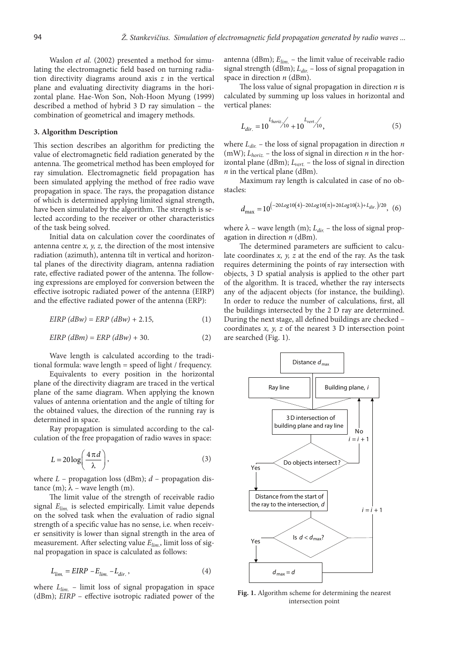Waslon *et al.* (2002) presented a method for simulating the electromagnetic field based on turning radiation directivity diagrams around axis *z* in the vertical plane and evaluating directivity diagrams in the horizontal plane. Hae-Won Son, Noh-Hoon Myung (1999) described a method of hybrid 3 D ray simulation – the combination of geometrical and imagery methods.

#### **3. Algorithm Description**

This section describes an algorithm for predicting the value of electromagnetic field radiation generated by the antenna. The geometrical method has been employed for ray simulation. Electromagnetic field propagation has been simulated applying the method of free radio wave propagation in space. The rays, the propagation distance of which is determined applying limited signal strength, have been simulated by the algorithm. The strength is selected according to the receiver or other characteristics of the task being solved.

Initial data on calculation cover the coordinates of antenna centre *x, y, z,* the direction of the most intensive radiation (azimuth), antenna tilt in vertical and horizontal planes of the directivity diagram, antenna radiation rate, effective radiated power of the antenna. The following expressions are employed for conversion between the effective isotropic radiated power of the antenna (EIRP) and the effective radiated power of the antenna (ERP):

$$
EIRP (dBw) = ERP (dBw) + 2.15,
$$
 (1)

$$
EIRP (dBm) = ERP (dBw) + 30.
$$
 (2)

Wave length is calculated according to the traditional formula: wave length = speed of light / frequency.

Equivalents to every position in the horizontal plane of the directivity diagram are traced in the vertical plane of the same diagram. When applying the known values of antenna orientation and the angle of tilting for the obtained values, the direction of the running ray is determined in space.

Ray propagation is simulated according to the calculation of the free propagation of radio waves in space:

$$
L = 20\log\left(\frac{4\pi d}{\lambda}\right),\tag{3}
$$

where  $L$  – propagation loss (dBm);  $d$  – propagation distance (m);  $λ$  – wave length (m).

The limit value of the strength of receivable radio signal *Elim*. is selected empirically. Limit value depends on the solved task when the evaluation of radio signal strength of a specific value has no sense, i.e. when receiver sensitivity is lower than signal strength in the area of measurement. After selecting value *Elim*. , limit loss of signal propagation in space is calculated as follows:

$$
L_{lim.} = EIRP - E_{lim.} - L_{dir.} \,, \tag{4}
$$

where  $L_{lim.}$  – limit loss of signal propagation in space (dBm); *EIRP* - effective isotropic radiated power of the

antenna ( $dBm$ );  $E_{lim.}$  – the limit value of receivable radio signal strength (dBm);  $L_{dir.}$  – loss of signal propagation in space in direction *n* (dBm).

The loss value of signal propagation in direction *n* is calculated by summing up loss values in horizontal and vertical planes:

$$
L_{dir.} = 10^{L_{horiz}} / 10 + 10^{L_{vert.}} / 10,
$$
\n(5)

where *Ldir. –* the loss of signal propagation in direction *n* (mW);  $L_{horiz}$  – the loss of signal in direction *n* in the horizontal plane (dBm); *Lvert. –* the loss of signal in direction *n* in the vertical plane (dBm).

Maximum ray length is calculated in case of no obstacles:

$$
d_{\text{max}} = 10^{(-20\log 10(4) - 20\log 10(\pi) + 20\log 10(\lambda) + L_{dir.})/20}, \tag{6}
$$

where  $\lambda$  – wave length (m);  $L_{dir}$  – the loss of signal propagation in direction *n* (dBm).

The determined parameters are sufficient to calculate coordinates *x, y, z* at the end of the ray. As the task requires determining the points of ray intersection with objects, 3 D spatial analysis is applied to the other part of the algorithm. It is traced, whether the ray intersects any of the adjacent objects (for instance, the building). In order to reduce the number of calculations, first, all the buildings intersected by the 2 D ray are determined. During the next stage, all defined buildings are checked – coordinates *x, y, z* of the nearest 3 D intersection point are searched (Fig. 1).



**Fig. 1.** Algorithm scheme for determining the nearest intersection point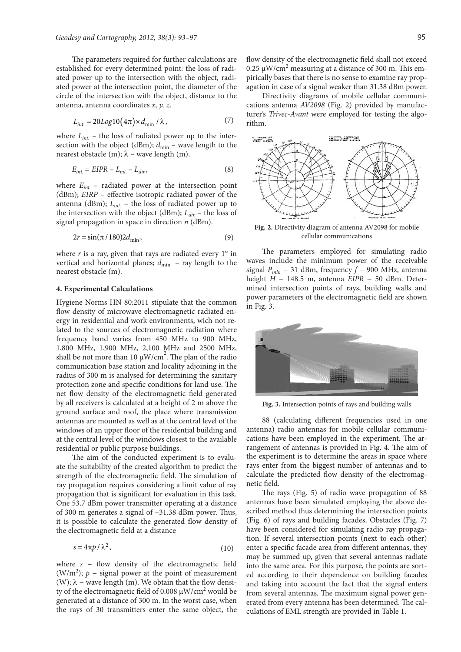The parameters required for further calculations are established for every determined point: the loss of radiated power up to the intersection with the object, radiated power at the intersection point, the diameter of the circle of the intersection with the object, distance to the antenna, antenna coordinates *x, y, z*.

$$
L_{int.} = 20Log10(4\pi) \times d_{min}/\lambda, \qquad (7)
$$

where  $L_{int}$  – the loss of radiated power up to the intersection with the object (dBm);  $d_{\min}$  – wave length to the nearest obstacle (m);  $\lambda$  – wave length (m).

$$
E_{int.} = EIPR - L_{int.} - L_{dir.}
$$
\n(8)

where  $E_{int.}$  – radiated power at the intersection point (dBm); *EIRP* – effective isotropic radiated power of the antenna (dBm);  $L_{int.}$  – the loss of radiated power up to the intersection with the object (dBm);  $L_{dir}$  – the loss of signal propagation in space in direction *n* (dBm).

$$
2r = \sin(\pi/180)2d_{\min},\tag{9}
$$

where  $r$  is a ray, given that rays are radiated every  $1^\circ$  in vertical and horizontal planes;  $d_{\text{min}}$  – ray length to the nearest obstacle (m).

### **4. Experimental Calculations**

Hygiene Norms HN 80:2011 stipulate that the common flow density of microwave electromagnetic radiated energy in residential and work environments, wich not related to the sources of electromagnetic radiation where frequency band varies from 450 MHz to 900 MHz, 1,800 MHz, 1,900 MHz, 2,100 MHz and 2500 MHz, shall be not more than 10  $\mu$ W/cm<sup>2</sup>. The plan of the radio communication base station and locality adjoining in the radius of 300 m is analysed for determining the sanitary protection zone and specific conditions for land use. The net flow density of the electromagnetic field generated by all receivers is calculated at a height of 2 m above the ground surface and roof, the place where transmission antennas are mounted as well as at the central level of the windows of an upper floor of the residential building and at the central level of the windows closest to the available residential or public purpose buildings.

The aim of the conducted experiment is to evaluate the suitability of the created algorithm to predict the strength of the electromagnetic field. The simulation of ray propagation requires considering a limit value of ray propagation that is significant for evaluation in this task. One 53.7 dBm power transmitter operating at a distance of 300 m generates a signal of –31.38 dBm power. Thus, it is possible to calculate the generated flow density of the electromagnetic field at a distance

$$
s = 4\pi p / \lambda^2, \qquad (10)
$$

where *s* − flow density of the electromagnetic field (W/m<sup>2</sup>);  $p$  – signal power at the point of measurement (W);  $\lambda$  – wave length (m). We obtain that the flow density of the electromagnetic field of 0.008  $\mu$ W/cm<sup>2</sup> would be generated at a distance of 300 m. In the worst case, when the rays of 30 transmitters enter the same object, the

flow density of the electromagnetic field shall not exceed 0.25  $\mu$ W/cm<sup>2</sup> measuring at a distance of 300 m. This empirically bases that there is no sense to examine ray propagation in case of a signal weaker than 31.38 dBm power.

Directivity diagrams of mobile cellular communications antenna *AV2098* (Fig. 2) provided by manufacturer's *Trivec-Avant* were employed for testing the algorithm.



**Fig. 2.** Directivity diagram of antenna AV2098 for mobile cellular communications

The parameters employed for simulating radio waves include the minimum power of the receivable signal *Pmin* − 31 dBm, frequency *f* − 900 MHz, antenna height *H* − 148.5 m, antenna *EIPR* − 50 dBm. Determined intersection points of rays, building walls and power parameters of the electromagnetic field are shown in Fig. 3.



**Fig. 3.** Intersection points of rays and building walls

88 (calculating different frequencies used in one antenna) radio antennas for mobile cellular communications have been employed in the experiment. The arrangement of antennas is provided in Fig. 4. The aim of the experiment is to determine the areas in space where rays enter from the biggest number of antennas and to calculate the predicted flow density of the electromagnetic field.

The rays (Fig. 5) of radio wave propagation of 88 antennas have been simulated employing the above described method thus determining the intersection points (Fig. 6) of rays and building facades. Obstacles (Fig. 7) have been considered for simulating radio ray propagation. If several intersection points (next to each other) enter a specific facade area from different antennas, they may be summed up, given that several antennas radiate into the same area. For this purpose, the points are sorted according to their dependence on building facades and taking into account the fact that the signal enters from several antennas. The maximum signal power generated from every antenna has been determined. The calculations of EML strength are provided in Table 1.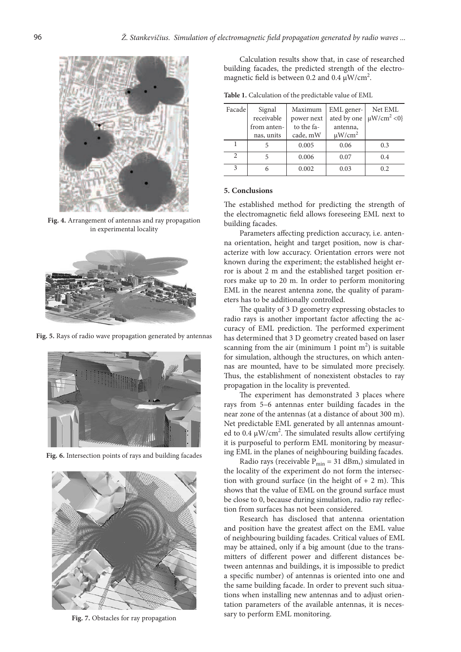

**Fig. 4.** Arrangement of antennas and ray propagation in experimental locality



**Fig. 5.** Rays of radio wave propagation generated by antennas



**Fig. 6.** Intersection points of rays and building facades



**Fig. 7.** Obstacles for ray propagation

Calculation results show that, in case of researched building facades, the predicted strength of the electromagnetic field is between 0.2 and 0.4  $\mu$ W/cm<sup>2</sup>.

**Table 1.** Calculation of the predictable value of EML

| Facade         | Signal<br>receivable<br>from anten-<br>nas, units | Maximum<br>power next<br>to the fa-<br>cade, mW | EML gener-<br>ated by one<br>antenna,<br>$\mu$ W/cm <sup>2</sup> | Net EML<br>$ W/cm^2 < 0$ |
|----------------|---------------------------------------------------|-------------------------------------------------|------------------------------------------------------------------|--------------------------|
|                | 5                                                 | 0.005                                           | 0.06                                                             | 0.3                      |
| $\mathfrak{D}$ | 5                                                 | 0.006                                           | 0.07                                                             | 0.4                      |
| $\mathbf{3}$   |                                                   | 0.002                                           | 0.03                                                             | 0.2                      |

#### **5. Conclusions**

The established method for predicting the strength of the electromagnetic field allows foreseeing EML next to building facades.

Parameters affecting prediction accuracy, i.e. antenna orientation, height and target position, now is characterize with low accuracy. Orientation errors were not known during the experiment; the established height error is about 2 m and the established target position errors make up to 20 m. In order to perform monitoring EML in the nearest antenna zone, the quality of parameters has to be additionally controlled.

The quality of 3 D geometry expressing obstacles to radio rays is another important factor affecting the accuracy of EML prediction. The performed experiment has determined that 3 D geometry created based on laser scanning from the air (minimum 1 point  $m<sup>2</sup>$ ) is suitable for simulation, although the structures, on which antennas are mounted, have to be simulated more precisely. Thus, the establishment of nonexistent obstacles to ray propagation in the locality is prevented.

The experiment has demonstrated 3 places where rays from 5–6 antennas enter building facades in the near zone of the antennas (at a distance of about 300 m). Net predictable EML generated by all antennas amounted to 0.4  $\mu$ W/cm<sup>2</sup>. The simulated results allow certifying it is purposeful to perform EML monitoring by measuring EML in the planes of neighbouring building facades.

Radio rays (receivable  $P_{min} = 31$  dBm,) simulated in the locality of the experiment do not form the intersection with ground surface (in the height of  $+ 2$  m). This shows that the value of EML on the ground surface must be close to 0, because during simulation, radio ray reflection from surfaces has not been considered.

Research has disclosed that antenna orientation and position have the greatest affect on the EML value of neighbouring building facades. Critical values of EML may be attained, only if a big amount (due to the transmitters of different power and different distances between antennas and buildings, it is impossible to predict a specific number) of antennas is oriented into one and the same building facade. In order to prevent such situations when installing new antennas and to adjust orientation parameters of the available antennas, it is necessary to perform EML monitoring.